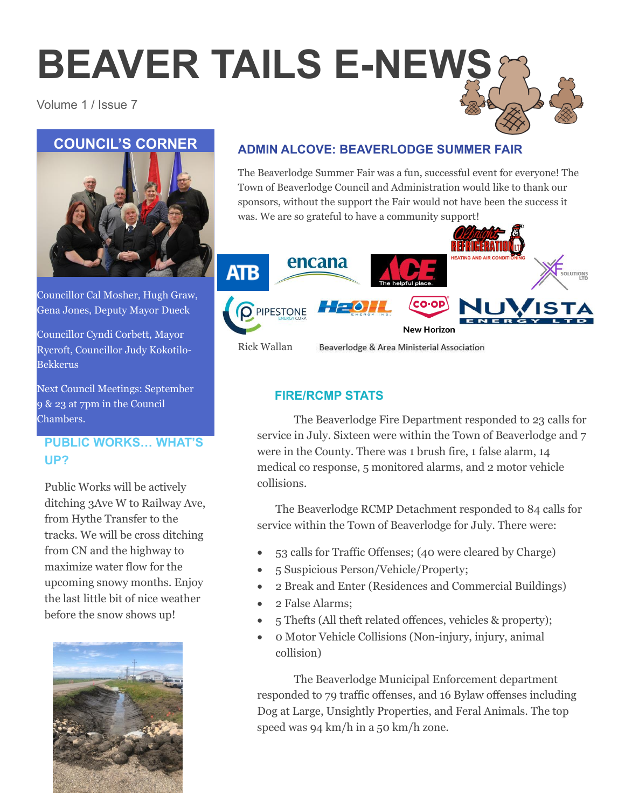# **BEAVER TAILS E-NEWS**

### Volume 1 / Issue 7



Councillor Cal Mosher, Hugh Graw, Gena Jones, Deputy Mayor Dueck

Councillor Cyndi Corbett, Mayor Rycroft, Councillor Judy Kokotilo-Bekkerus

Next Council Meetings: September 9 & 23 at 7pm in the Council Chambers.

## **PUBLIC WORKS… WHAT'S UP?**

Public Works will be actively ditching 3Ave W to Railway Ave, from Hythe Transfer to the tracks. We will be cross ditching from CN and the highway to maximize water flow for the upcoming snowy months. Enjoy the last little bit of nice weather before the snow shows up!



## **ADMIN ALCOVE: BEAVERLODGE SUMMER FAIR**

The Beaverlodge Summer Fair was a fun, successful event for everyone! The Town of Beaverlodge Council and Administration would like to thank our sponsors, without the support the Fair would not have been the success it was. We are so grateful to have a community support!



## **FIRE/RCMP STATS**

The Beaverlodge Fire Department responded to 23 calls for service in July. Sixteen were within the Town of Beaverlodge and 7 were in the County. There was 1 brush fire, 1 false alarm, 14 medical co response, 5 monitored alarms, and 2 motor vehicle collisions.

The Beaverlodge RCMP Detachment responded to 84 calls for service within the Town of Beaverlodge for July. There were:

- 53 calls for Traffic Offenses; (40 were cleared by Charge)
- 5 Suspicious Person/Vehicle/Property;
- 2 Break and Enter (Residences and Commercial Buildings)
- 2 False Alarms;
- 5 Thefts (All theft related offences, vehicles & property);
- 0 Motor Vehicle Collisions (Non-injury, injury, animal collision)

The Beaverlodge Municipal Enforcement department responded to 79 traffic offenses, and 16 Bylaw offenses including Dog at Large, Unsightly Properties, and Feral Animals. The top speed was 94 km/h in a 50 km/h zone.